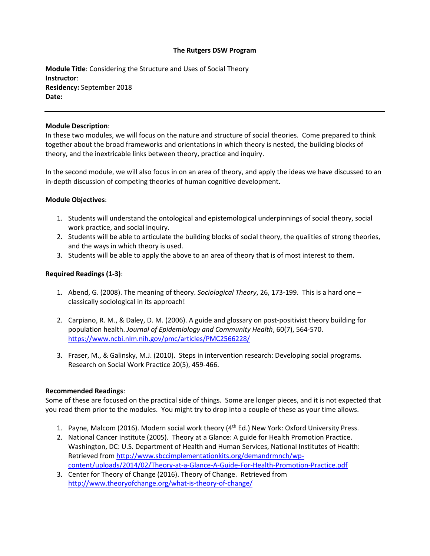### **The Rutgers DSW Program**

**Module Title**: Considering the Structure and Uses of Social Theory **Instructor**: **Residency:** September 2018 **Date:** 

### **Module Description**:

In these two modules, we will focus on the nature and structure of social theories. Come prepared to think together about the broad frameworks and orientations in which theory is nested, the building blocks of theory, and the inextricable links between theory, practice and inquiry.

In the second module, we will also focus in on an area of theory, and apply the ideas we have discussed to an in-depth discussion of competing theories of human cognitive development.

### **Module Objectives**:

- 1. Students will understand the ontological and epistemological underpinnings of social theory, social work practice, and social inquiry.
- 2. Students will be able to articulate the building blocks of social theory, the qualities of strong theories, and the ways in which theory is used.
- 3. Students will be able to apply the above to an area of theory that is of most interest to them.

# **Required Readings (1-3)**:

- 1. Abend, G. (2008). The meaning of theory. *Sociological Theory*, 26, 173-199. This is a hard one classically sociological in its approach!
- 2. Carpiano, R. M., & Daley, D. M. (2006). A guide and glossary on post-positivist theory building for population health. *Journal of Epidemiology and Community Health*, 60(7), 564-570. <https://www.ncbi.nlm.nih.gov/pmc/articles/PMC2566228/>
- 3. Fraser, M., & Galinsky, M.J. (2010). Steps in intervention research: Developing social programs. Research on Social Work Practice 20(5), 459-466.

# **Recommended Readings**:

Some of these are focused on the practical side of things. Some are longer pieces, and it is not expected that you read them prior to the modules. You might try to drop into a couple of these as your time allows.

- 1. Payne, Malcom (2016). Modern social work theory (4<sup>th</sup> Ed.) New York: Oxford University Press.
- 2. National Cancer Institute (2005). Theory at a Glance: A guide for Health Promotion Practice. Washington, DC: U.S. Department of Health and Human Services, National Institutes of Health: Retrieved from [http://www.sbccimplementationkits.org/demandrmnch/wp](http://www.sbccimplementationkits.org/demandrmnch/wp-content/uploads/2014/02/Theory-at-a-Glance-A-Guide-For-Health-Promotion-Practice.pdf)[content/uploads/2014/02/Theory-at-a-Glance-A-Guide-For-Health-Promotion-Practice.pdf](http://www.sbccimplementationkits.org/demandrmnch/wp-content/uploads/2014/02/Theory-at-a-Glance-A-Guide-For-Health-Promotion-Practice.pdf)
- 3. Center for Theory of Change (2016). Theory of Change. Retrieved from <http://www.theoryofchange.org/what-is-theory-of-change/>